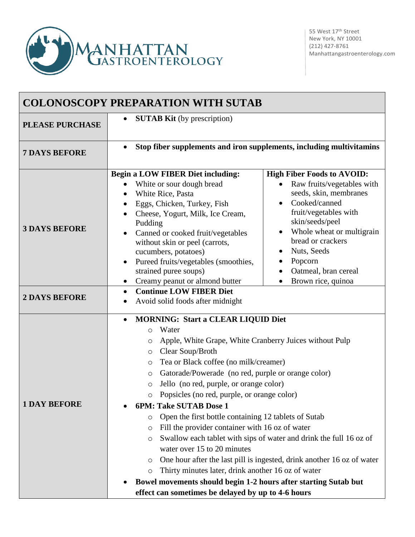

| <b>COLONOSCOPY PREPARATION WITH SUTAB</b> |                                                                                                                                                                                                                                                                                                                                                                                                                                                                                                                                                                                                                                                                                                                                                                                                                                                                                                                                     |                                                                                                                                                                                                                                                                                  |  |
|-------------------------------------------|-------------------------------------------------------------------------------------------------------------------------------------------------------------------------------------------------------------------------------------------------------------------------------------------------------------------------------------------------------------------------------------------------------------------------------------------------------------------------------------------------------------------------------------------------------------------------------------------------------------------------------------------------------------------------------------------------------------------------------------------------------------------------------------------------------------------------------------------------------------------------------------------------------------------------------------|----------------------------------------------------------------------------------------------------------------------------------------------------------------------------------------------------------------------------------------------------------------------------------|--|
| <b>PLEASE PURCHASE</b>                    | <b>SUTAB Kit</b> (by prescription)<br>$\bullet$                                                                                                                                                                                                                                                                                                                                                                                                                                                                                                                                                                                                                                                                                                                                                                                                                                                                                     |                                                                                                                                                                                                                                                                                  |  |
| <b>7 DAYS BEFORE</b>                      | Stop fiber supplements and iron supplements, including multivitamins<br>$\bullet$                                                                                                                                                                                                                                                                                                                                                                                                                                                                                                                                                                                                                                                                                                                                                                                                                                                   |                                                                                                                                                                                                                                                                                  |  |
| <b>3 DAYS BEFORE</b>                      | <b>Begin a LOW FIBER Diet including:</b><br>White or sour dough bread<br>White Rice, Pasta<br>$\bullet$<br>Eggs, Chicken, Turkey, Fish<br>$\bullet$<br>Cheese, Yogurt, Milk, Ice Cream,<br>Pudding<br>Canned or cooked fruit/vegetables<br>$\bullet$<br>without skin or peel (carrots,<br>cucumbers, potatoes)<br>Pureed fruits/vegetables (smoothies,<br>٠<br>strained puree soups)<br>Creamy peanut or almond butter<br>$\bullet$                                                                                                                                                                                                                                                                                                                                                                                                                                                                                                 | <b>High Fiber Foods to AVOID:</b><br>Raw fruits/vegetables with<br>seeds, skin, membranes<br>Cooked/canned<br>fruit/vegetables with<br>skin/seeds/peel<br>Whole wheat or multigrain<br>bread or crackers<br>Nuts, Seeds<br>Popcorn<br>Oatmeal, bran cereal<br>Brown rice, quinoa |  |
| <b>2 DAYS BEFORE</b>                      | <b>Continue LOW FIBER Diet</b><br>$\bullet$<br>Avoid solid foods after midnight                                                                                                                                                                                                                                                                                                                                                                                                                                                                                                                                                                                                                                                                                                                                                                                                                                                     |                                                                                                                                                                                                                                                                                  |  |
| <b>1 DAY BEFORE</b>                       | <b>MORNING: Start a CLEAR LIQUID Diet</b><br>$\bullet$<br>Water<br>$\circ$<br>Apple, White Grape, White Cranberry Juices without Pulp<br>O<br>Clear Soup/Broth<br>O<br>Tea or Black coffee (no milk/creamer)<br>O<br>Gatorade/Powerade (no red, purple or orange color)<br>$\circ$<br>Jello (no red, purple, or orange color)<br>O<br>Popsicles (no red, purple, or orange color)<br>$\cap$<br>6PM: Take SUTAB Dose 1<br>Open the first bottle containing 12 tablets of Sutab<br>O<br>Fill the provider container with 16 oz of water<br>$\circ$<br>Swallow each tablet with sips of water and drink the full 16 oz of<br>O<br>water over 15 to 20 minutes<br>One hour after the last pill is ingested, drink another 16 oz of water<br>O<br>Thirty minutes later, drink another 16 oz of water<br>$\circ$<br>Bowel movements should begin 1-2 hours after starting Sutab but<br>effect can sometimes be delayed by up to 4-6 hours |                                                                                                                                                                                                                                                                                  |  |